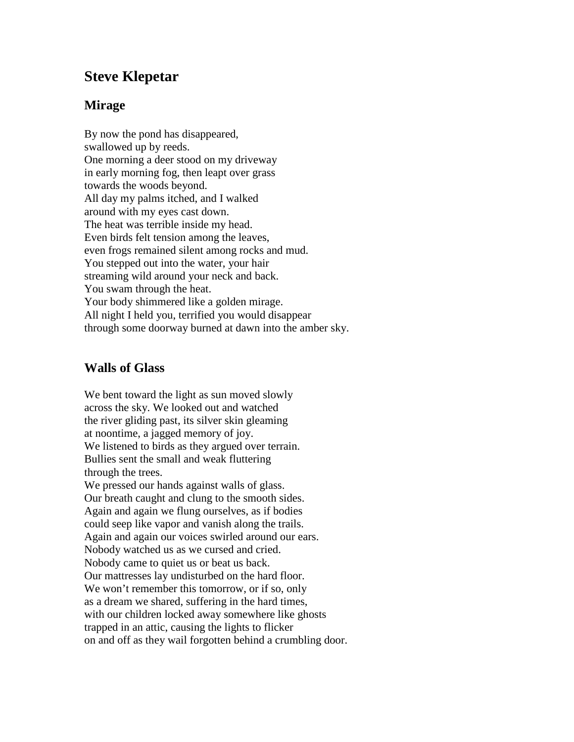## **Steve Klepetar**

## **Mirage**

By now the pond has disappeared, swallowed up by reeds. One morning a deer stood on my driveway in early morning fog, then leapt over grass towards the woods beyond. All day my palms itched, and I walked around with my eyes cast down. The heat was terrible inside my head. Even birds felt tension among the leaves, even frogs remained silent among rocks and mud. You stepped out into the water, your hair streaming wild around your neck and back. You swam through the heat. Your body shimmered like a golden mirage. All night I held you, terrified you would disappear through some doorway burned at dawn into the amber sky.

## **Walls of Glass**

We bent toward the light as sun moved slowly across the sky. We looked out and watched the river gliding past, its silver skin gleaming at noontime, a jagged memory of joy. We listened to birds as they argued over terrain. Bullies sent the small and weak fluttering through the trees.

We pressed our hands against walls of glass. Our breath caught and clung to the smooth sides. Again and again we flung ourselves, as if bodies could seep like vapor and vanish along the trails. Again and again our voices swirled around our ears. Nobody watched us as we cursed and cried. Nobody came to quiet us or beat us back. Our mattresses lay undisturbed on the hard floor. We won't remember this tomorrow, or if so, only as a dream we shared, suffering in the hard times, with our children locked away somewhere like ghosts trapped in an attic, causing the lights to flicker on and off as they wail forgotten behind a crumbling door.